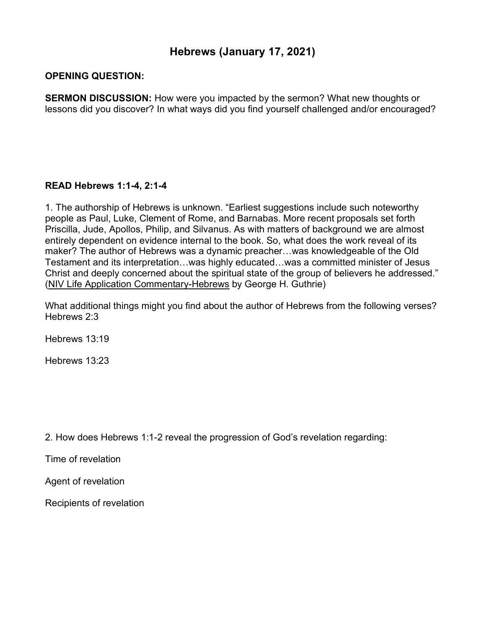## **Hebrews (January 17, 2021)**

## **OPENING QUESTION:**

**SERMON DISCUSSION:** How were you impacted by the sermon? What new thoughts or lessons did you discover? In what ways did you find yourself challenged and/or encouraged?

## **READ Hebrews 1:1-4, 2:1-4**

1. The authorship of Hebrews is unknown. "Earliest suggestions include such noteworthy people as Paul, Luke, Clement of Rome, and Barnabas. More recent proposals set forth Priscilla, Jude, Apollos, Philip, and Silvanus. As with matters of background we are almost entirely dependent on evidence internal to the book. So, what does the work reveal of its maker? The author of Hebrews was a dynamic preacher…was knowledgeable of the Old Testament and its interpretation…was highly educated…was a committed minister of Jesus Christ and deeply concerned about the spiritual state of the group of believers he addressed." (NIV Life Application Commentary-Hebrews by George H. Guthrie)

What additional things might you find about the author of Hebrews from the following verses? Hebrews 2:3

Hebrews 13:19

Hebrews 13:23

2. How does Hebrews 1:1-2 reveal the progression of God's revelation regarding:

Time of revelation

Agent of revelation

Recipients of revelation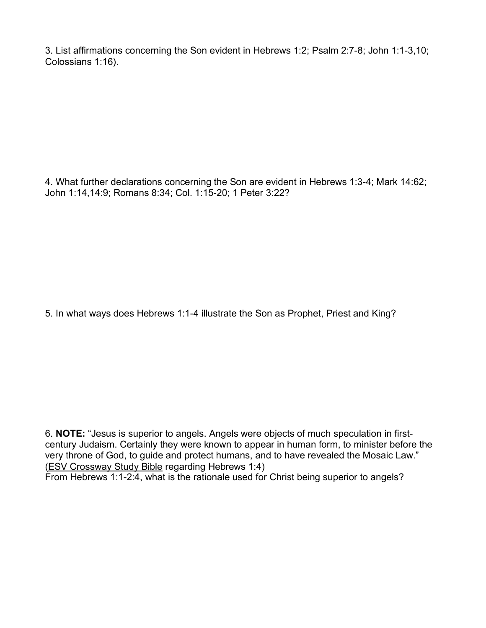3. List affirmations concerning the Son evident in Hebrews 1:2; Psalm 2:7-8; John 1:1-3,10; Colossians 1:16).

4. What further declarations concerning the Son are evident in Hebrews 1:3-4; Mark 14:62; John 1:14,14:9; Romans 8:34; Col. 1:15-20; 1 Peter 3:22?

5. In what ways does Hebrews 1:1-4 illustrate the Son as Prophet, Priest and King?

6. **NOTE:** "Jesus is superior to angels. Angels were objects of much speculation in firstcentury Judaism. Certainly they were known to appear in human form, to minister before the very throne of God, to guide and protect humans, and to have revealed the Mosaic Law." (ESV Crossway Study Bible regarding Hebrews 1:4)

From Hebrews 1:1-2:4, what is the rationale used for Christ being superior to angels?